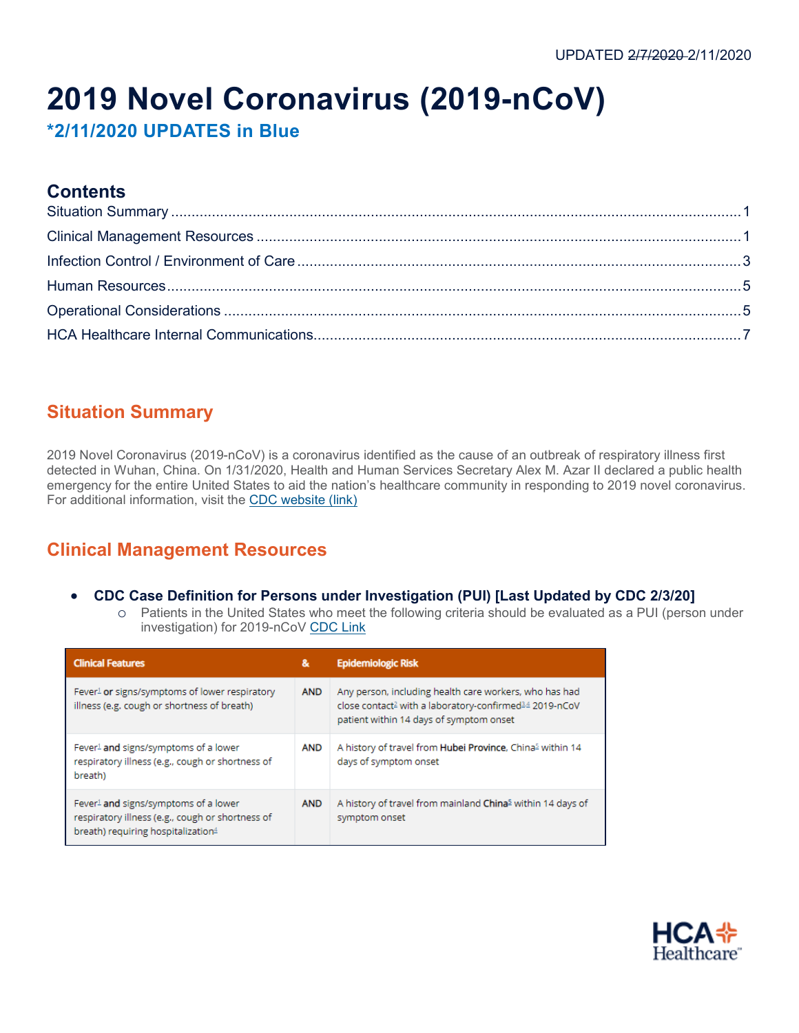# **2019 Novel Coronavirus (2019-nCoV)**

**\*2/11/2020 UPDATES in Blue**

### **Contents**

# <span id="page-0-0"></span>**Situation Summary**

2019 Novel Coronavirus (2019-nCoV) is a [coronavirus](https://www.cdc.gov/coronavirus/index.html) identified as the cause of an outbreak of respiratory illness first detected in Wuhan, China. On 1/31/2020, Health and Human Services Secretary Alex M. Azar II declared a public health emergency for the entire United States to aid the nation's healthcare community in responding to 2019 novel coronavirus. For additional information, visit the [CDC website \(link\)](http://www.cdc.gov/coronavirus/2019-ncov/index.html)

# <span id="page-0-1"></span>**Clinical Management Resources**

- **CDC Case Definition for Persons under Investigation (PUI) [Last Updated by CDC 2/3/20]**
	- o Patients in the United States who meet the following criteria should be evaluated as a PUI (person under investigation) for 2019-nCoV [CDC Link](https://www.cdc.gov/coronavirus/2019-nCoV/hcp/clinical-criteria.html)

| <b>Clinical Features</b>                                                                                                                               | &          | <b>Epidemiologic Risk</b>                                                                                                                                               |
|--------------------------------------------------------------------------------------------------------------------------------------------------------|------------|-------------------------------------------------------------------------------------------------------------------------------------------------------------------------|
| Fever <sup>1</sup> or signs/symptoms of lower respiratory<br>illness (e.g. cough or shortness of breath)                                               | <b>AND</b> | Any person, including health care workers, who has had<br>close contact≧ with a laboratory-confirmed <sup>34</sup> 2019-nCoV<br>patient within 14 days of symptom onset |
| Fever <sup>1</sup> and signs/symptoms of a lower<br>respiratory illness (e.g., cough or shortness of<br>breath)                                        | <b>AND</b> | A history of travel from Hubei Province, China <sup>5</sup> within 14<br>days of symptom onset                                                                          |
| Fever <sup>1</sup> and signs/symptoms of a lower<br>respiratory illness (e.g., cough or shortness of<br>breath) requiring hospitalization <sup>4</sup> | <b>AND</b> | A history of travel from mainland China <sup>5</sup> within 14 days of<br>symptom onset                                                                                 |

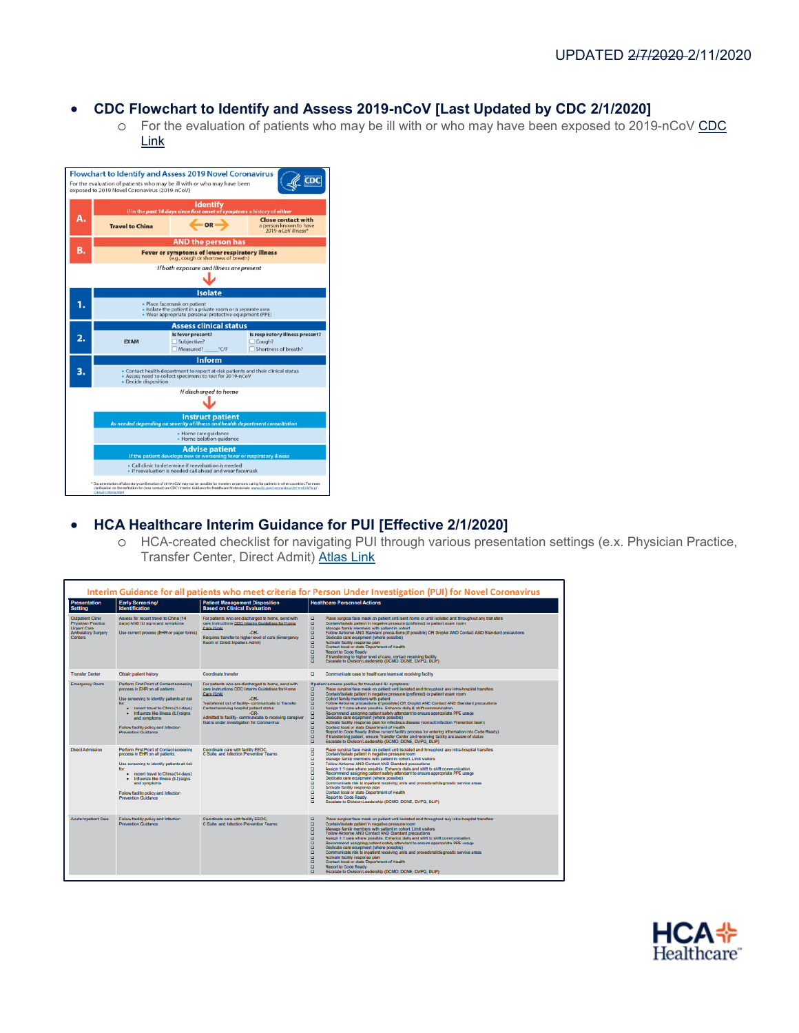### • **CDC Flowchart to Identify and Assess 2019-nCoV [Last Updated by CDC 2/1/2020]**

o For the evaluation of patients who may be ill with or who may have been exposed to 2019-nCoV [CDC](http://connect.medcity.net/documents/403590410/427196028/2019-nCoV-identify-assess-flowchart-2020-02-01-508.pdf/69c13058-8c04-4079-4561-7c24ca892e30)  [Link](http://connect.medcity.net/documents/403590410/427196028/2019-nCoV-identify-assess-flowchart-2020-02-01-508.pdf/69c13058-8c04-4079-4561-7c24ca892e30)

|                                                                                                                                                   |                                                                                                                                                                  | <b>Identify</b><br>if in the past 14 days since first onset of symptoms a history of either              |                                                                           |  |  |  |  |  |
|---------------------------------------------------------------------------------------------------------------------------------------------------|------------------------------------------------------------------------------------------------------------------------------------------------------------------|----------------------------------------------------------------------------------------------------------|---------------------------------------------------------------------------|--|--|--|--|--|
|                                                                                                                                                   | <b>Travel to China</b>                                                                                                                                           | OR                                                                                                       | <b>Close contact with</b><br>a person known to have<br>2019-nCoV illness* |  |  |  |  |  |
| Β.                                                                                                                                                |                                                                                                                                                                  | <b>AND the person has</b><br>Fever or symptoms of lower respiratory illness                              |                                                                           |  |  |  |  |  |
|                                                                                                                                                   |                                                                                                                                                                  | (e.g., cough or shortness of breath)                                                                     |                                                                           |  |  |  |  |  |
| if both exposure and illness are present                                                                                                          |                                                                                                                                                                  |                                                                                                          |                                                                           |  |  |  |  |  |
|                                                                                                                                                   |                                                                                                                                                                  | <b>Isolate</b>                                                                                           |                                                                           |  |  |  |  |  |
| - Place facemask on patient<br>. Isolate the patient in a private room or a separate area<br>Wear appropriate personal protective equipment (PPE) |                                                                                                                                                                  |                                                                                                          |                                                                           |  |  |  |  |  |
|                                                                                                                                                   |                                                                                                                                                                  | <b>Assess clinical status</b>                                                                            |                                                                           |  |  |  |  |  |
| 2.                                                                                                                                                | <b>EXAM</b>                                                                                                                                                      | Is fever present?<br>Subjective?<br>Measured? "C/F                                                       | Is respiratory illness present?<br>Cough?<br>Shortness of breath?         |  |  |  |  |  |
|                                                                                                                                                   |                                                                                                                                                                  | Inform                                                                                                   |                                                                           |  |  |  |  |  |
| 3.                                                                                                                                                | - Contact health department to report at-risk patients and their clinical status<br>Assess need to collect specimens to test for 2019-nCoV<br>Decide disposition |                                                                                                          |                                                                           |  |  |  |  |  |
|                                                                                                                                                   |                                                                                                                                                                  | If discharged to home                                                                                    |                                                                           |  |  |  |  |  |
|                                                                                                                                                   |                                                                                                                                                                  | <b>Instruct patient</b><br>As needed depending on severity of illness and health department consultation |                                                                           |  |  |  |  |  |
| · Home care guidance<br>Home isolation guidance                                                                                                   |                                                                                                                                                                  |                                                                                                          |                                                                           |  |  |  |  |  |
|                                                                                                                                                   |                                                                                                                                                                  | <b>Advise patient</b><br>If the patient develops new or worsening fever or respiratory illness           |                                                                           |  |  |  |  |  |
| · Call clinic to determine if reevaluation is needed<br>. If reevaluation is needed call ahead and wear facemask                                  |                                                                                                                                                                  |                                                                                                          |                                                                           |  |  |  |  |  |

### • **HCA Healthcare Interim Guidance for PUI [Effective 2/1/2020]**

o HCA-created checklist for navigating PUI through various presentation settings (e.x. Physician Practice, Transfer Center, Direct Admit) [Atlas Link](https://connect.medcity.net/documents/403590410/427196028/Interim+Guidance+for+Coronavirus+PUI+Patients+2_6_20.pdf/cf6561a9-c48f-e437-8376-3a3c37f14501)

| <b>Presentation</b><br><b>Setting</b>                                                                 | <b>Early Screening/</b><br><b>Identification</b>                                                                                                                                                                                                                                                                 | <b>Patient Management Disposition</b><br><b>Based on Clinical Evaluation</b>                                                                                                                                                                                                                                                                          | <b>Healthcare Personnel Actions</b>                                                                                                                                                                                                                                                                                                                                                                                                                                                                                                                                                                                                                                                                                                                                                                                                                                                                                                                                                                                                                                                              |
|-------------------------------------------------------------------------------------------------------|------------------------------------------------------------------------------------------------------------------------------------------------------------------------------------------------------------------------------------------------------------------------------------------------------------------|-------------------------------------------------------------------------------------------------------------------------------------------------------------------------------------------------------------------------------------------------------------------------------------------------------------------------------------------------------|--------------------------------------------------------------------------------------------------------------------------------------------------------------------------------------------------------------------------------------------------------------------------------------------------------------------------------------------------------------------------------------------------------------------------------------------------------------------------------------------------------------------------------------------------------------------------------------------------------------------------------------------------------------------------------------------------------------------------------------------------------------------------------------------------------------------------------------------------------------------------------------------------------------------------------------------------------------------------------------------------------------------------------------------------------------------------------------------------|
| Outpatient Clinic<br>Physician Practice<br><b>Urgent Care</b><br>Ambulatory Surgery<br><b>Centers</b> | Assess for recent travel to China (14<br>days) AND ILI signs and symptoms<br>Use current process (EHR or paper forms)                                                                                                                                                                                            | For patients who are discharged to home, send with<br>care instructions CDC Interim Guidelines for Home<br>Care (Link)<br>-OR-<br>Requires transfer to higher level of care (Emergency<br>Room or Direct Inpatient Admit)                                                                                                                             | $\Box$<br>Place surgical face mask on patient until sent home or until isolated and throughout any transfers<br>$\Box$<br>Contain/isolate patient in negative pressure (preferred) or patient exam room<br>$\Box$<br>Manage family members with patient in cohort<br>۰<br>Follow Airborne AND Standard precautions (if possible) OR Droplet AND Contact AND Standard precautions<br>$\Box$<br>Dedicate care equipment (where possible)<br>Β<br>Activate facility response plan<br>Contact local or state Department of Health<br>$\Box$<br>Report to Code Ready<br>$\Box$<br>If transferring to higher level of care, contact receiving facility<br>a<br>Escalate to Division Leadership (DCMO, DCNE, DVPO, DLIP)                                                                                                                                                                                                                                                                                                                                                                                |
| <b>Transfer Center</b>                                                                                | Obtain patient history                                                                                                                                                                                                                                                                                           | Coordinate transfer                                                                                                                                                                                                                                                                                                                                   | $\Box$<br>Communicate case to healthcare teams at receiving facility                                                                                                                                                                                                                                                                                                                                                                                                                                                                                                                                                                                                                                                                                                                                                                                                                                                                                                                                                                                                                             |
| Emergency Room                                                                                        | Perform First Point of Contact screening<br>process in EHR on all patients.<br>Use screening to identify patients at risk<br>for:<br>. recent travel to China (14 days)<br>Influenza like illness (ILI) signs<br>$\bullet$<br>and symptoms<br>Follow facility policy and Infection<br><b>Prevention Guidance</b> | For patients who are discharged to home, send with<br>care instructions CDC Interim Guidelines for Home<br>Care (Link)<br>JOR.<br>Transferred out of facility- communicate to Transfer<br>Center/receiving hospital patient status<br>JOR.<br>Admitted to facility- communicate to receiving caregiver<br>that is under investigation for Coronavirus | If patient screens positive for travel and ILI symptoms:<br>в<br>Place surgical face mask on patient until isolated and throughout any intra-hospital transfers<br>$\Box$<br>Contain/isolate patient in negative pressure (preferred) or patient exam room<br>$\Box$<br>Cohort family members with patient<br>ō<br>Follow Airborne precautions (if possible) OR Droplet AND Contact AND Standard precautions<br>$\Box$<br>Assign 1:1 care where possible. Enhance daily & shift communication.<br>$\Box$<br>Recommend assigning patient safety attendant to ensure appropriate PPE usage<br>o<br>Dedicate care equipment (where possible)<br>$\Box$<br>Activate facility response plan for infectious disease (consult Infection Prevention team)<br>$\Box$<br>Contact local or state Department of Health<br>ō<br>Report to Code Ready (follow current facility process for entering information into Code Ready)<br>$\Box$<br>If transferring patient, ensure Transfer Center and receiving facility are aware of status<br>$\Box$<br>Escalate to Division Leadership (DCMO, DCNE, DVPO, DLIP) |
| <b>Direct Admission</b>                                                                               | Perform First Point of Contact screening<br>process in EHR on all patients.<br>Use screening to identify patients at risk<br>for:<br>. recent travel to China (14 days)<br>· Influenza like illness (ILI) signs<br>and symptoms<br>Follow facility policy and Infection<br>Prevention Guidance                   | Coordinate care with facility EEOC.<br>C Suite, and Infection Prevention Teams                                                                                                                                                                                                                                                                        | $\Box$<br>Place surgical face mask on patient until isolated and throughout any intra-hospital transfers<br>$\Box$<br>Contain/isolate patient in negative pressure room<br>$\Box$<br>Manage family members with patient in cohort. Limit visitors<br>$\Box$<br>Follow Airborne AND Contact AND Standard precautions<br>$\Box$<br>Assign 1:1 care where possible. Enhance daily and shift to shift communication.<br>$\Box$<br>Recommend assigning patient safety attendant to ensure appropriate PPE usage<br>$\Box$<br>Dedicate care equipment (where possible)<br>$\Box$<br>Communicate risk to inpatient receiving units and procedural/diagnostic service areas<br>ō<br>Activate facility response plan<br>$\Box$<br>Contact local or state Department of Health<br>$\Box$<br>Report to Code Ready<br>ö<br>Escalate to Division Leadership (DCMO, DCNE, DVPQ, DLIP)                                                                                                                                                                                                                          |
| <b>Acute Inpatient Care</b>                                                                           | Follow facility policy and Infection<br><b>Prevention Guidance</b>                                                                                                                                                                                                                                               | Coordinate care with facility EEOC.<br>C Suite, and Infection Prevention Teams                                                                                                                                                                                                                                                                        | $\Box$<br>Place surgical face mask on patient until isolated and throughout any intra-hospital transfers<br>$\Box$<br>Contain/isolate patient in negative pressure room<br>Β<br>Manage family members with patient in cohort. Limit visitors<br>Follow Airborne AND Contact AND Standard precautions<br>$\Box$<br>Assign 1:1 care where possible. Enhance daily and shift to shift communication.<br>Β<br>Recommend assigning patient safety attendant to ensure appropriate PPE usage<br>Dedicate care equipment (where possible)<br>$\Box$<br>Communicate risk to inpatient receiving units and procedural/diagnostic service areas<br>$\Box$<br>Activate facility response plan<br>$\Box$<br>Contact local or state Department of Health<br>$\Box$<br>Report to Code Ready<br>$\Box$<br>Escalate to Division Leadership (DCMO, DCNE, DVPQ, DLIP)                                                                                                                                                                                                                                              |

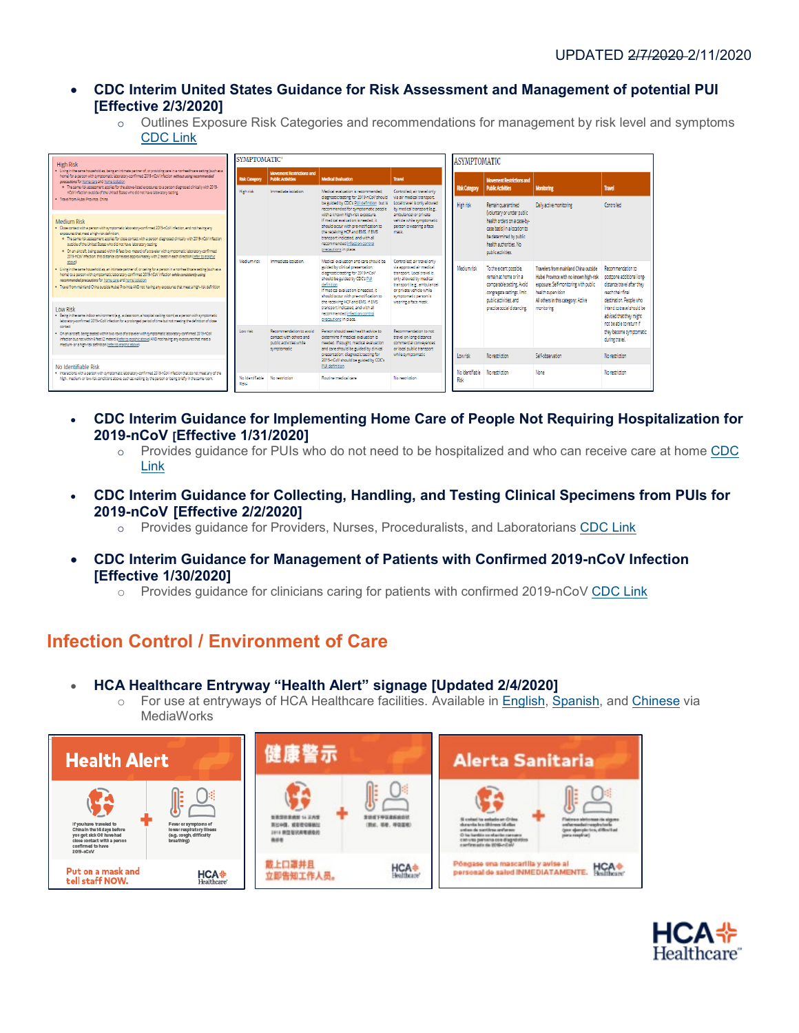- **CDC Interim United States Guidance for Risk Assessment and Management of potential PUI [Effective 2/3/2020]**
	- o Outlines Exposure Risk Categories and recommendations for management by risk level and symptoms [CDC Link](https://www.cdc.gov/coronavirus/2019-ncov/php/risk-assessment.html)



- **CDC Interim Guidance for Implementing Home Care of People Not Requiring Hospitalization for 2019-nCoV [Effective 1/31/2020]** 
	- o Provides guidance for PUIs who do not need to be hospitalized and who can receive care at home [CDC](https://www.cdc.gov/coronavirus/2019-ncov/hcp/guidance-home-care.html)  [Link](https://www.cdc.gov/coronavirus/2019-ncov/hcp/guidance-home-care.html)
- **CDC Interim Guidance for Collecting, Handling, and Testing Clinical Specimens from PUIs for 2019-nCoV [Effective 2/2/2020]** 
	- o Provides guidance for Providers, Nurses, Proceduralists, and Laboratorians [CDC Link](https://www.cdc.gov/coronavirus/2019-ncov/lab/guidelines-clinical-specimens.html?CDC_AA_refVal=https%3A%2F%2Fwww.cdc.gov%2Fcoronavirus%2F2019-ncov%2Fguidelines-clinical-specimens.html)
- **CDC Interim Guidance for Management of Patients with Confirmed 2019-nCoV Infection [Effective 1/30/2020]**
	- o Provides guidance for clinicians caring for patients with confirmed 2019-nCoV [CDC Link](https://www.cdc.gov/coronavirus/2019-ncov/hcp/clinical-guidance-management-patients.html)

# <span id="page-2-0"></span>**Infection Control / Environment of Care**

- **HCA Healthcare Entryway "Health Alert" signage [Updated 2/4/2020]**
	- o For use at entryways of HCA Healthcare facilities. Available in [English,](https://hcamediaworks.saepio.com/marketport/marketinghub.xhtml?go=viewAssetDetail_1221382_530) [Spanish,](https://hcamediaworks.saepio.com/marketport/marketinghub.xhtml) and [Chinese](https://hcamediaworks.saepio.com/marketport/marketinghub.xhtml) via **MediaWorks**



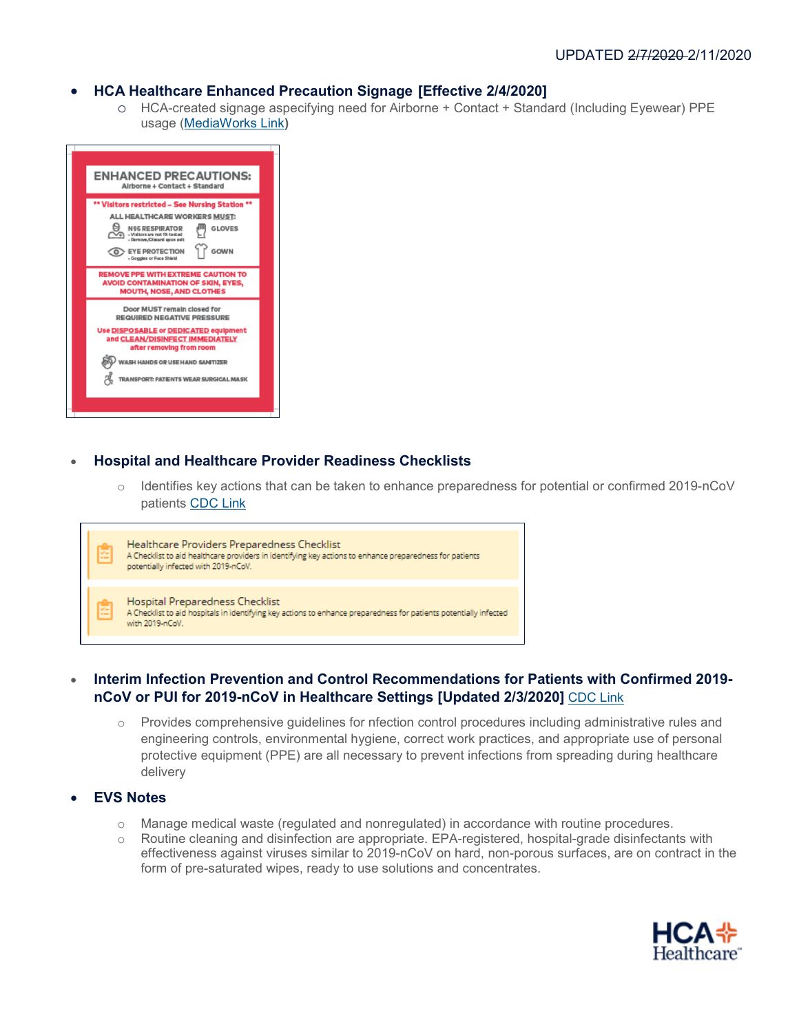#### • **HCA Healthcare Enhanced Precaution Signage [Effective 2/4/2020]**

o HCA-created signage aspecifying need for Airborne + Contact + Standard (Including Eyewear) PPE usage [\(MediaWorks Link](https://hcamediaworks.saepio.com/marketport/marketinghub.xhtml?go=viewAssetDetail_1223173_530)**)**



#### • **Hospital and Healthcare Provider Readiness Checklists**

o Identifies key actions that can be taken to enhance preparedness for potential or confirmed 2019-nCoV patients [CDC Link](https://www.cdc.gov/coronavirus/2019-ncov/hcp/preparedness-checklists.html)

| 廇 | Healthcare Providers Preparedness Checklist<br>A Checklist to aid healthcare providers in identifying key actions to enhance preparedness for patients<br>potentially infected with 2019-nCoV. |
|---|------------------------------------------------------------------------------------------------------------------------------------------------------------------------------------------------|
| 廇 | Hospital Preparedness Checklist<br>A Checklist to aid hospitals in identifying key actions to enhance preparedness for patients potentially infected<br>with 2019-nCoV.                        |

### • **Interim Infection Prevention and Control Recommendations for Patients with Confirmed 2019 nCoV or PUI for 2019-nCoV in Healthcare Settings [Updated 2/3/2020]** [CDC Link](https://www.cdc.gov/coronavirus/2019-nCoV/hcp/infection-control.html)

 $\circ$  Provides comprehensive quidelines for nfection control procedures including administrative rules and engineering controls, environmental hygiene, correct work practices, and appropriate use of personal protective equipment (PPE) are all necessary to prevent infections from spreading during healthcare delivery

#### • **EVS Notes**

Г

- o Manage medical waste (regulated and nonregulated) in accordance with routine procedures.
- o Routine cleaning and disinfection are appropriate. EPA-registered, hospital-grade disinfectants with effectiveness against viruses similar to 2019-nCoV on hard, non-porous surfaces, are on contract in the form of pre-saturated wipes, ready to use solutions and concentrates.

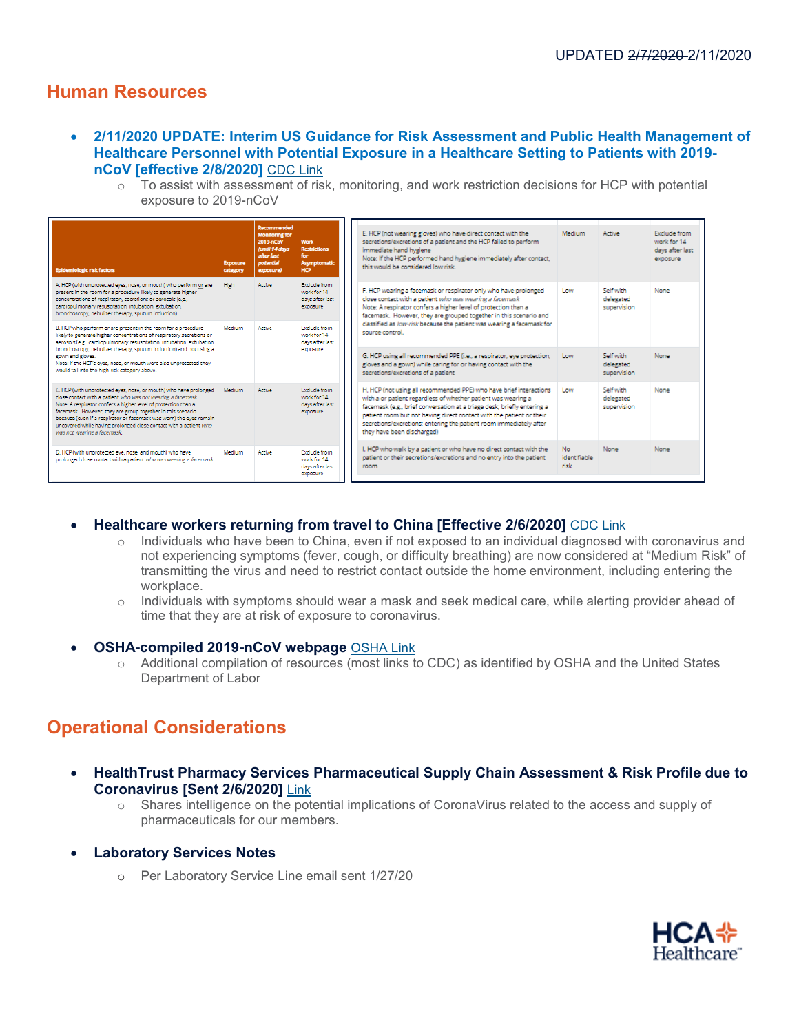### <span id="page-4-0"></span>**Human Resources**

- **2/11/2020 UPDATE: Interim US Guidance for Risk Assessment and Public Health Management of Healthcare Personnel with Potential Exposure in a Healthcare Setting to Patients with 2019 nCoV [effective 2/8/2020]** [CDC Link](https://www.cdc.gov/coronavirus/2019-ncov/hcp/guidance-risk-assesment-hcp.html)
	- $\circ$  To assist with assessment of risk, monitoring, and work restriction decisions for HCP with potential exposure to 2019-nCoV

| <b>Epidemiologic risk factors</b>                                                                                                                                                                                                                                                                                                                                                                                                            | <b>Exposure</b><br>category | <b>Recommended</b><br><b>Monitoring for</b><br>2019-nCoV<br>(until 14 days<br>after last<br>potential<br>exposure) | <b>Work</b><br><b>Restrictions</b><br>for<br>Asymptomati<br><b>HCP</b> |  | E. HCP (not wearing gloves) who have direct contact with the<br>secretions/excretions of a patient and the HCP failed to perform<br>immediate hand hveiene<br>Note: If the HCP performed hand hygiene immediately after contact,<br>this would be considered low risk.                                                                                                                     | Medium                       | Active                                | <b>Exclude from</b><br>work for 14<br>days after last<br>exposure |
|----------------------------------------------------------------------------------------------------------------------------------------------------------------------------------------------------------------------------------------------------------------------------------------------------------------------------------------------------------------------------------------------------------------------------------------------|-----------------------------|--------------------------------------------------------------------------------------------------------------------|------------------------------------------------------------------------|--|--------------------------------------------------------------------------------------------------------------------------------------------------------------------------------------------------------------------------------------------------------------------------------------------------------------------------------------------------------------------------------------------|------------------------------|---------------------------------------|-------------------------------------------------------------------|
| A. HCP (with unprotected eyes, nose, or mouth) who perform or are<br>present in the room for a procedure likely to generate higher<br>concentrations of respiratory secretions or aerosols (e.g.,<br>cardiopulmonary resuscitation, intubation, extubation,<br>bronchoscopy, nebulizer therapy, soutum induction)                                                                                                                            | <b>High</b>                 | Active                                                                                                             | Exclude from<br>work for 14<br>days after last<br>exposure             |  | F. HCP wearing a facemask or respirator only who have prolonged<br>close contact with a patient who was wearing a facemask<br>Note: A respirator confers a higher level of protection than a<br>facemask. However, they are grouped together in this scenario and                                                                                                                          | Low                          | Self with<br>delegated<br>supervision | None                                                              |
| B. HCP who perform or are present in the room for a procedure<br>likely to generate higher concentrations of respiratory secretions or<br>aerosols (e.g., cardiopulmonary resuscitation, intubation, extubation,                                                                                                                                                                                                                             | Medium                      | Active                                                                                                             | <b>Exclude from</b><br>work for 14<br>days after last                  |  | classified as low-risk because the patient was wearing a facemask for<br>source control.                                                                                                                                                                                                                                                                                                   |                              |                                       |                                                                   |
| bronchoscopy, nebulizer therapy, sputum induction) and not using a<br>gown and gloves.<br>Note: If the HCP's eyes, nose, or mouth were also unprotected they<br>would fall into the high-risk category above.                                                                                                                                                                                                                                |                             |                                                                                                                    | exposure                                                               |  | G. HCP using all recommended PPE (i.e., a respirator, eve protection,<br>gloves and a gown) while caring for or having contact with the<br>secretions/excretions of a patient                                                                                                                                                                                                              | Low                          | Self with<br>delegated<br>supervision | None                                                              |
| C. HCP (with unprotected eyes, nose, or mouth) who have prolonged<br>close contact with a patient who was not wearing a facemask<br>Note: A respirator confers a higher level of protection than a<br>facemask. However, they are group together in this scenario<br>because (even if a respirator or facemask was worn) the eves remain<br>uncovered while having prolonged close contact with a patient who<br>was not wearing a facemask. | Medium                      | Active                                                                                                             | Exclude from<br>work for 14<br>days after last<br>exposure             |  | H. HCP (not using all recommended PPE) who have brief interactions<br>with a or patient regardless of whether patient was wearing a<br>facemask (e.g., brief conversation at a triage desk: briefly entering a<br>patient room but not having direct contact with the patient or their<br>secretions/excretions: entering the patient room immediately after<br>they have been discharged) | Low                          | Self with<br>delegated<br>supervision | None                                                              |
| D. HCP (with unprotected eye, nose, and mouth) who have<br>prolonged close contact with a patient who was wearing a facemask                                                                                                                                                                                                                                                                                                                 | Medium                      | Artive                                                                                                             | <b>Exclude from</b><br>work for 14<br>days after last<br>exposure      |  | I. HCP who walk by a patient or who have no direct contact with the<br>patient or their secretions/excretions and no entry into the patient<br>room                                                                                                                                                                                                                                        | No.<br>identifiable<br>risk. | None                                  | None                                                              |

#### • **Healthcare workers returning from travel to China [Effective 2/6/2020]** [CDC Link](https://www.cdc.gov/coronavirus/2019-ncov/php/risk-assessment.html)

- $\circ$  Individuals who have been to China, even if not exposed to an individual diagnosed with coronavirus and not experiencing symptoms (fever, cough, or difficulty breathing) are now considered at "Medium Risk" of transmitting the virus and need to restrict contact outside the home environment, including entering the workplace.
- $\circ$  Individuals with symptoms should wear a mask and seek medical care, while alerting provider ahead of time that they are at risk of exposure to coronavirus.

#### • **OSHA-compiled 2019-nCoV webpage** [OSHA Link](https://www.osha.gov/SLTC/novel_coronavirus/)

o Additional compilation of resources (most links to CDC) as identified by OSHA and the United States Department of Labor

### <span id="page-4-1"></span>**Operational Considerations**

- **HealthTrust Pharmacy Services Pharmaceutical Supply Chain Assessment & Risk Profile due to Coronavirus [Sent 2/6/2020]** [Link](https://portal.healthtrustpg.com/-/media/EC428141F1CB4D49B626574E5C7D721A.ashx?utm_campaign=2018%20Response%20MedSurg%20-%20Alert&utm_source=hs_email&utm_medium=email&utm_content=83027565&_hsenc=p2ANqtz-9Z0asve40cKBcE6OhE-EKFrjFoGS9du561VOmGwVCqeYjjUHKk5ryxbIWeS-z4HLAisGoczRf14AJzlOXKVzeVOKb2bwJLBNasGpFDXoWLXf7xch4&_hsmi=83027565)
	- $\circ$  Shares intelligence on the potential implications of CoronaVirus related to the access and supply of pharmaceuticals for our members.
- **Laboratory Services Notes**
	- o Per Laboratory Service Line email sent 1/27/20

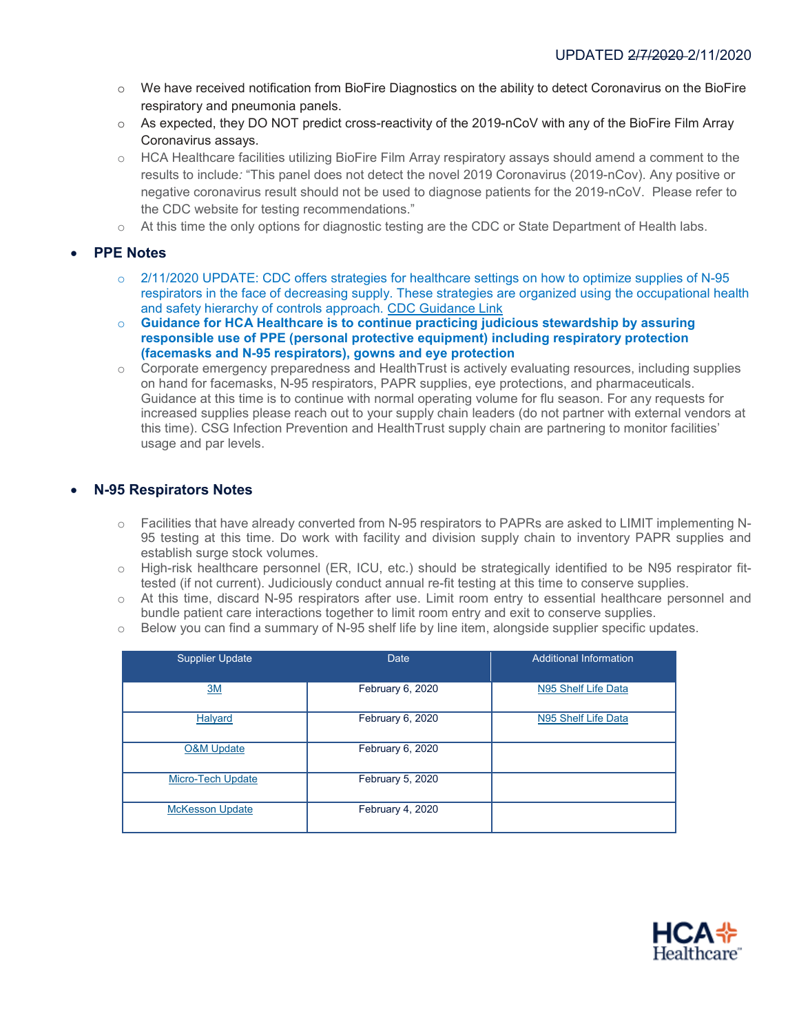- o We have received notification from BioFire Diagnostics on the ability to detect Coronavirus on the BioFire respiratory and pneumonia panels.
- o As expected, they DO NOT predict cross-reactivity of the 2019-nCoV with any of the BioFire Film Array Coronavirus assays.
- o HCA Healthcare facilities utilizing BioFire Film Array respiratory assays should amend a comment to the results to include*:* "This panel does not detect the novel 2019 Coronavirus (2019-nCov). Any positive or negative coronavirus result should not be used to diagnose patients for the 2019-nCoV. Please refer to the CDC website for testing recommendations."
- $\circ$  At this time the only options for diagnostic testing are the CDC or State Department of Health labs.

#### • **PPE Notes**

- o 2/11/2020 UPDATE: CDC offers strategies for healthcare settings on how to optimize supplies of N-95 respirators in the face of decreasing supply. These strategies are organized using the occupational health and safety hierarchy of controls approach. [CDC Guidance Link](https://www.cdc.gov/coronavirus/2019-ncov/hcp/respirator-supply-strategies.html)
- o **Guidance for HCA Healthcare is to continue practicing judicious stewardship by assuring responsible use of PPE (personal protective equipment) including respiratory protection (facemasks and N-95 respirators), gowns and eye protection**
- $\circ$  Corporate emergency preparedness and HealthTrust is actively evaluating resources, including supplies on hand for facemasks, N-95 respirators, PAPR supplies, eye protections, and pharmaceuticals. Guidance at this time is to continue with normal operating volume for flu season. For any requests for increased supplies please reach out to your supply chain leaders (do not partner with external vendors at this time). CSG Infection Prevention and HealthTrust supply chain are partnering to monitor facilities' usage and par levels.

#### • **N-95 Respirators Notes**

- o Facilities that have already converted from N-95 respirators to PAPRs are asked to LIMIT implementing N-95 testing at this time. Do work with facility and division supply chain to inventory PAPR supplies and establish surge stock volumes.
- o High-risk healthcare personnel (ER, ICU, etc.) should be strategically identified to be N95 respirator fittested (if not current). Judiciously conduct annual re-fit testing at this time to conserve supplies.
- o At this time, discard N-95 respirators after use. Limit room entry to essential healthcare personnel and bundle patient care interactions together to limit room entry and exit to conserve supplies.
- $\circ$  Below you can find a summary of N-95 shelf life by line item, alongside supplier specific updates.

| <b>Supplier Update</b>   | Date             | Additional Information |
|--------------------------|------------------|------------------------|
| 3M                       | February 6, 2020 | N95 Shelf Life Data    |
| Halyard                  | February 6, 2020 | N95 Shelf Life Data    |
| <b>O&amp;M Update</b>    | February 6, 2020 |                        |
| <b>Micro-Tech Update</b> | February 5, 2020 |                        |
| <b>McKesson Update</b>   | February 4, 2020 |                        |